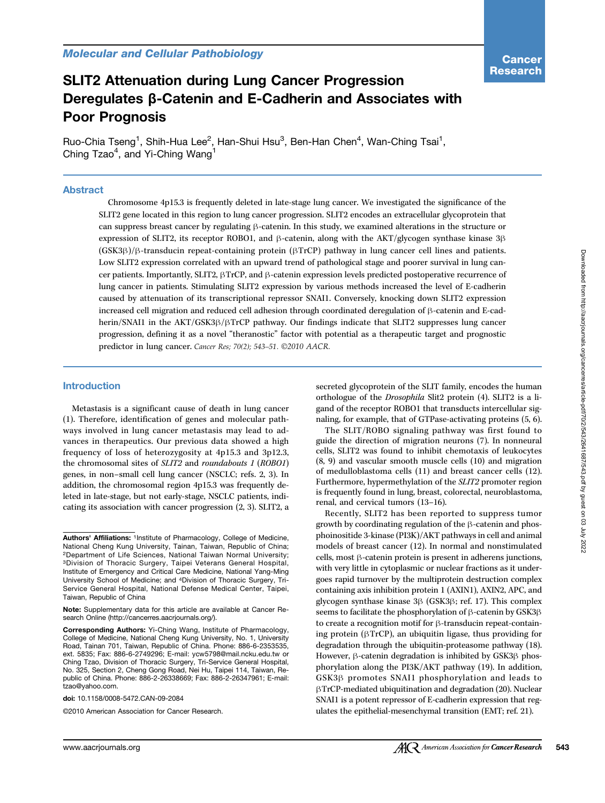# SLIT2 Attenuation during Lung Cancer Progression Deregulates β-Catenin and E-Cadherin and Associates with Poor Prognosis

Ruo-Chia Tseng<sup>1</sup>, Shih-Hua Lee<sup>2</sup>, Han-Shui Hsu<sup>3</sup>, Ben-Han Chen<sup>4</sup>, Wan-Ching Tsai<sup>1</sup>, Ching Tzao<sup>4</sup>, and Yi-Ching Wang<sup>1</sup>

#### Abstract

Chromosome 4p15.3 is frequently deleted in late-stage lung cancer. We investigated the significance of the SLIT2 gene located in this region to lung cancer progression. SLIT2 encodes an extracellular glycoprotein that can suppress breast cancer by regulating β-catenin. In this study, we examined alterations in the structure or expression of SLIT2, its receptor ROBO1, and β-catenin, along with the AKT/glycogen synthase kinase 3β (GSK3β)/β-transducin repeat-containing protein (βTrCP) pathway in lung cancer cell lines and patients. Low SLIT2 expression correlated with an upward trend of pathological stage and poorer survival in lung cancer patients. Importantly, SLIT2, βTrCP, and β-catenin expression levels predicted postoperative recurrence of lung cancer in patients. Stimulating SLIT2 expression by various methods increased the level of E-cadherin caused by attenuation of its transcriptional repressor SNAI1. Conversely, knocking down SLIT2 expression increased cell migration and reduced cell adhesion through coordinated deregulation of β-catenin and E-cadherin/SNAI1 in the AKT/GSK3β/βTrCP pathway. Our findings indicate that SLIT2 suppresses lung cancer progression, defining it as a novel "theranostic" factor with potential as a therapeutic target and prognostic predictor in lung cancer. Cancer Res; 70(2); 543–51. ©2010 AACR.

#### Introduction

Metastasis is a significant cause of death in lung cancer (1). Therefore, identification of genes and molecular pathways involved in lung cancer metastasis may lead to advances in therapeutics. Our previous data showed a high frequency of loss of heterozygosity at 4p15.3 and 3p12.3, the chromosomal sites of SLIT2 and roundabouts 1 (ROBO1) genes, in non–small cell lung cancer (NSCLC; refs. 2, 3). In addition, the chromosomal region 4p15.3 was frequently deleted in late-stage, but not early-stage, NSCLC patients, indicating its association with cancer progression (2, 3). SLIT2, a

doi: 10.1158/0008-5472.CAN-09-2084

©2010 American Association for Cancer Research.

secreted glycoprotein of the SLIT family, encodes the human orthologue of the Drosophila Slit2 protein (4). SLIT2 is a ligand of the receptor ROBO1 that transducts intercellular signaling, for example, that of GTPase-activating proteins (5, 6).

The SLIT/ROBO signaling pathway was first found to guide the direction of migration neurons (7). In nonneural cells, SLIT2 was found to inhibit chemotaxis of leukocytes (8, 9) and vascular smooth muscle cells (10) and migration of medulloblastoma cells (11) and breast cancer cells (12). Furthermore, hypermethylation of the SLIT2 promoter region is frequently found in lung, breast, colorectal, neuroblastoma, renal, and cervical tumors (13–16).

Recently, SLIT2 has been reported to suppress tumor growth by coordinating regulation of the β-catenin and phosphoinositide 3-kinase (PI3K)/AKT pathways in cell and animal models of breast cancer (12). In normal and nonstimulated cells, most β-catenin protein is present in adherens junctions, with very little in cytoplasmic or nuclear fractions as it undergoes rapid turnover by the multiprotein destruction complex containing axis inhibition protein 1 (AXIN1), AXIN2, APC, and glycogen synthase kinase 3β (GSK3β; ref. 17). This complex seems to facilitate the phosphorylation of β-catenin by GSK3β to create a recognition motif for β-transducin repeat-containing protein (βTrCP), an ubiquitin ligase, thus providing for degradation through the ubiquitin-proteasome pathway (18). However, β-catenin degradation is inhibited by GSK3β phosphorylation along the PI3K/AKT pathway (19). In addition, GSK3β promotes SNAI1 phosphorylation and leads to βTrCP-mediated ubiquitination and degradation (20). Nuclear SNAI1 is a potent repressor of E-cadherin expression that regulates the epithelial-mesenchymal transition (EMT; ref. 21).

Authors' Affiliations: 1Institute of Pharmacology, College of Medicine, National Cheng Kung University, Tainan, Taiwan, Republic of China; 2Department of Life Sciences, National Taiwan Normal University; 3Division of Thoracic Surgery, Taipei Veterans General Hospital, Institute of Emergency and Critical Care Medicine, National Yang-Ming University School of Medicine; and 4Division of Thoracic Surgery, Tri-Service General Hospital, National Defense Medical Center, Taipei, Taiwan, Republic of China

Note: Supplementary data for this article are available at Cancer Research Online (http://cancerres.aacrjournals.org/).

Corresponding Authors: Yi-Ching Wang, Institute of Pharmacology, College of Medicine, National Cheng Kung University, No. 1, University Road, Tainan 701, Taiwan, Republic of China. Phone: 886-6-2353535, ext. 5835; Fax: 886-6-2749296; E-mail: ycw5798@mail.ncku.edu.tw or Ching Tzao, Division of Thoracic Surgery, Tri-Service General Hospital, No. 325, Section 2, Cheng Gong Road, Nei Hu, Taipei 114, Taiwan, Republic of China. Phone: 886-2-26338669; Fax: 886-2-26347961; E-mail: tzao@yahoo.com.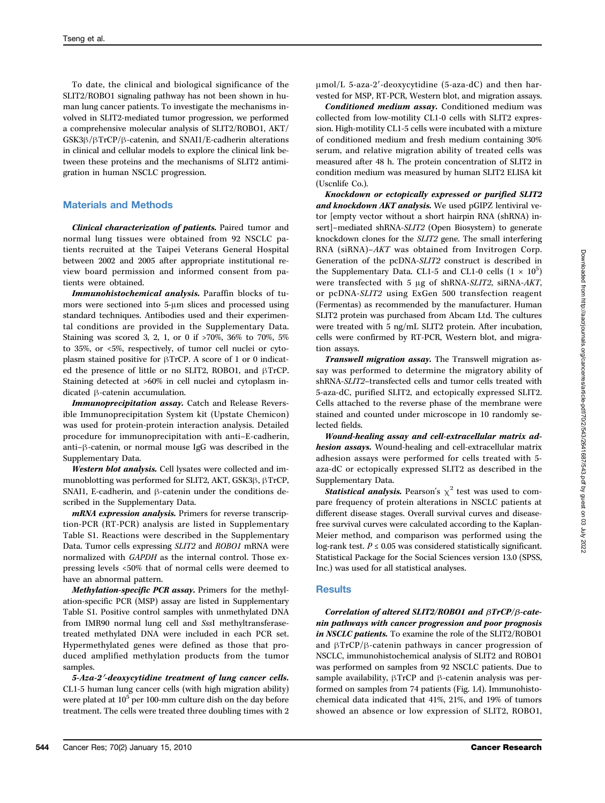To date, the clinical and biological significance of the SLIT2/ROBO1 signaling pathway has not been shown in human lung cancer patients. To investigate the mechanisms involved in SLIT2-mediated tumor progression, we performed a comprehensive molecular analysis of SLIT2/ROBO1, AKT/ GSK3β/βTrCP/β-catenin, and SNAI1/E-cadherin alterations in clinical and cellular models to explore the clinical link between these proteins and the mechanisms of SLIT2 antimigration in human NSCLC progression.

### Materials and Methods

Clinical characterization of patients. Paired tumor and normal lung tissues were obtained from 92 NSCLC patients recruited at the Taipei Veterans General Hospital between 2002 and 2005 after appropriate institutional review board permission and informed consent from patients were obtained.

Immunohistochemical analysis. Paraffin blocks of tumors were sectioned into 5-μm slices and processed using standard techniques. Antibodies used and their experimental conditions are provided in the Supplementary Data. Staining was scored 3, 2, 1, or 0 if >70%, 36% to 70%, 5% to 35%, or <5%, respectively, of tumor cell nuclei or cytoplasm stained positive for βTrCP. A score of 1 or 0 indicated the presence of little or no SLIT2, ROBO1, and βTrCP. Staining detected at >60% in cell nuclei and cytoplasm indicated β-catenin accumulation.

Immunoprecipitation assay. Catch and Release Reversible Immunoprecipitation System kit (Upstate Chemicon) was used for protein-protein interaction analysis. Detailed procedure for immunoprecipitation with anti–E-cadherin, anti–β-catenin, or normal mouse IgG was described in the Supplementary Data.

Western blot analysis. Cell lysates were collected and immunoblotting was performed for SLIT2, AKT, GSK3β, βTrCP, SNAI1, E-cadherin, and β-catenin under the conditions described in the Supplementary Data.

mRNA expression analysis. Primers for reverse transcription-PCR (RT-PCR) analysis are listed in Supplementary Table S1. Reactions were described in the Supplementary Data. Tumor cells expressing SLIT2 and ROBO1 mRNA were normalized with GAPDH as the internal control. Those expressing levels <50% that of normal cells were deemed to have an abnormal pattern.

Methylation-specific PCR assay. Primers for the methylation-specific PCR (MSP) assay are listed in Supplementary Table S1. Positive control samples with unmethylated DNA from IMR90 normal lung cell and SssI methyltransferasetreated methylated DNA were included in each PCR set. Hypermethylated genes were defined as those that produced amplified methylation products from the tumor samples.

5-Aza-2′-deoxycytidine treatment of lung cancer cells. CL1-5 human lung cancer cells (with high migration ability) were plated at  $10<sup>5</sup>$  per 100-mm culture dish on the day before treatment. The cells were treated three doubling times with 2 μmol/L 5-aza-2′-deoxycytidine (5-aza-dC) and then harvested for MSP, RT-PCR, Western blot, and migration assays.

Conditioned medium assay. Conditioned medium was collected from low-motility CL1-0 cells with SLIT2 expression. High-motility CL1-5 cells were incubated with a mixture of conditioned medium and fresh medium containing 30% serum, and relative migration ability of treated cells was measured after 48 h. The protein concentration of SLIT2 in condition medium was measured by human SLIT2 ELISA kit (Uscnlife Co.).

Knockdown or ectopically expressed or purified SLIT2 and knockdown AKT analysis. We used pGIPZ lentiviral vetor [empty vector without a short hairpin RNA (shRNA) insert]–mediated shRNA-SLIT2 (Open Biosystem) to generate knockdown clones for the SLIT2 gene. The small interfering RNA (siRNA)–AKT was obtained from Invitrogen Corp. Generation of the pcDNA-SLIT2 construct is described in the Supplementary Data. CL1-5 and CL1-0 cells  $(1 \times 10^5)$ were transfected with 5 μg of shRNA-SLIT2, siRNA-AKT, or pcDNA-SLIT2 using ExGen 500 transfection reagent (Fermentas) as recommended by the manufacturer. Human SLIT2 protein was purchased from Abcam Ltd. The cultures were treated with 5 ng/mL SLIT2 protein. After incubation, cells were confirmed by RT-PCR, Western blot, and migration assays.

Transwell migration assay. The Transwell migration assay was performed to determine the migratory ability of shRNA-SLIT2–transfected cells and tumor cells treated with 5-aza-dC, purified SLIT2, and ectopically expressed SLIT2. Cells attached to the reverse phase of the membrane were stained and counted under microscope in 10 randomly selected fields.

Wound-healing assay and cell-extracellular matrix adhesion assays. Wound-healing and cell-extracellular matrix adhesion assays were performed for cells treated with 5 aza-dC or ectopically expressed SLIT2 as described in the Supplementary Data.

**Statistical analysis.** Pearson's  $\chi^2$  test was used to compare frequency of protein alterations in NSCLC patients at different disease stages. Overall survival curves and diseasefree survival curves were calculated according to the Kaplan-Meier method, and comparison was performed using the log-rank test.  $P \le 0.05$  was considered statistically significant. Statistical Package for the Social Sciences version 13.0 (SPSS, Inc.) was used for all statistical analyses.

#### **Results**

Correlation of altered SLIT2/ROBO1 and βTrCP/β-catenin pathways with cancer progression and poor prognosis in NSCLC patients. To examine the role of the SLIT2/ROBO1 and βTrCP/β-catenin pathways in cancer progression of NSCLC, immunohistochemical analysis of SLIT2 and ROBO1 was performed on samples from 92 NSCLC patients. Due to sample availability, βTrCP and β-catenin analysis was performed on samples from 74 patients (Fig. 1A). Immunohistochemical data indicated that 41%, 21%, and 19% of tumors showed an absence or low expression of SLIT2, ROBO1,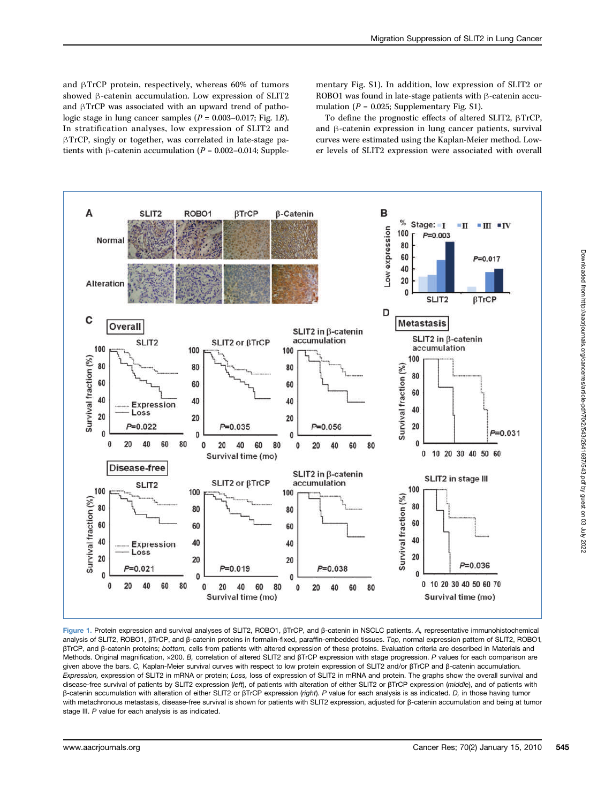and βTrCP protein, respectively, whereas 60% of tumors showed β-catenin accumulation. Low expression of SLIT2 and βTrCP was associated with an upward trend of pathologic stage in lung cancer samples  $(P = 0.003 - 0.017$ ; Fig. 1B). In stratification analyses, low expression of SLIT2 and βTrCP, singly or together, was correlated in late-stage patients with β-catenin accumulation ( $P = 0.002 - 0.014$ ; Supplementary Fig. S1). In addition, low expression of SLIT2 or ROBO1 was found in late-stage patients with β-catenin accumulation ( $P = 0.025$ ; Supplementary Fig. S1).

To define the prognostic effects of altered SLIT2, βTrCP, and β-catenin expression in lung cancer patients, survival curves were estimated using the Kaplan-Meier method. Lower levels of SLIT2 expression were associated with overall



Figure 1. Protein expression and survival analyses of SLIT2, ROBO1, βTrCP, and β-catenin in NSCLC patients. A, representative immunohistochemical analysis of SLIT2, ROBO1, βTrCP, and β-catenin proteins in formalin-fixed, paraffin-embedded tissues. Top, normal expression pattern of SLIT2, ROBO1, βTrCP, and β-catenin proteins; bottom, cells from patients with altered expression of these proteins. Evaluation criteria are described in Materials and Methods. Original magnification, ×200. B, correlation of altered SLIT2 and βTrCP expression with stage progression. P values for each comparison are given above the bars. C, Kaplan-Meier survival curves with respect to low protein expression of SLIT2 and/or βTrCP and β-catenin accumulation. Expression, expression of SLIT2 in mRNA or protein; Loss, loss of expression of SLIT2 in mRNA and protein. The graphs show the overall survival and disease-free survival of patients by SLIT2 expression (left), of patients with alteration of either SLIT2 or βTrCP expression (middle), and of patients with β-catenin accumulation with alteration of either SLIT2 or βTrCP expression (right). P value for each analysis is as indicated. D, in those having tumor with metachronous metastasis, disease-free survival is shown for patients with SLIT2 expression, adjusted for β-catenin accumulation and being at tumor stage III. P value for each analysis is as indicated.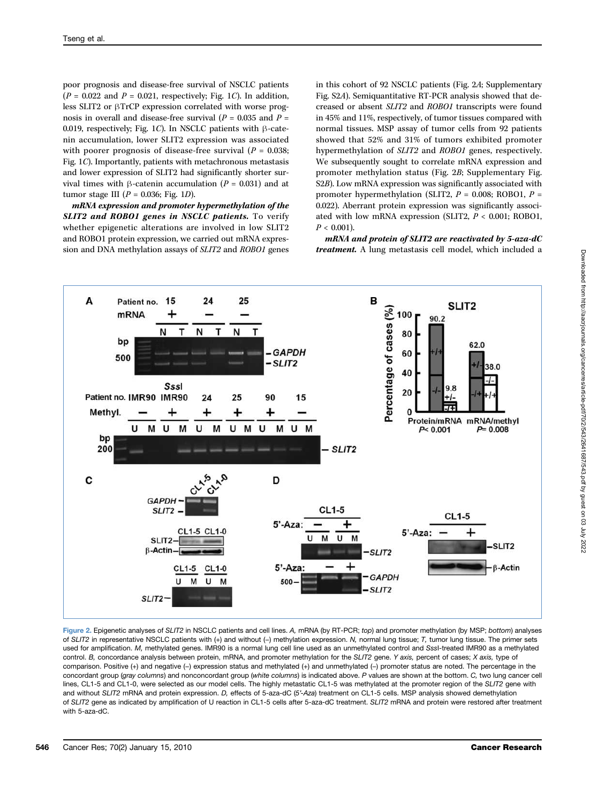poor prognosis and disease-free survival of NSCLC patients  $(P = 0.022$  and  $P = 0.021$ , respectively; Fig. 1C). In addition, less SLIT2 or βTrCP expression correlated with worse prognosis in overall and disease-free survival ( $P = 0.035$  and  $P =$ 0.019, respectively; Fig. 1C). In NSCLC patients with β-catenin accumulation, lower SLIT2 expression was associated with poorer prognosis of disease-free survival ( $P = 0.038$ ; Fig. 1C). Importantly, patients with metachronous metastasis and lower expression of SLIT2 had significantly shorter survival times with β-catenin accumulation ( $P = 0.031$ ) and at tumor stage III ( $P = 0.036$ ; Fig. 1D).

mRNA expression and promoter hypermethylation of the SLIT2 and ROBO1 genes in NSCLC patients. To verify whether epigenetic alterations are involved in low SLIT2 and ROBO1 protein expression, we carried out mRNA expression and DNA methylation assays of SLIT2 and ROBO1 genes

in this cohort of 92 NSCLC patients (Fig. 2A; Supplementary Fig. S2A). Semiquantitative RT-PCR analysis showed that decreased or absent SLIT2 and ROBO1 transcripts were found in 45% and 11%, respectively, of tumor tissues compared with normal tissues. MSP assay of tumor cells from 92 patients showed that 52% and 31% of tumors exhibited promoter hypermethylation of SLIT2 and ROBO1 genes, respectively. We subsequently sought to correlate mRNA expression and promoter methylation status (Fig. 2B; Supplementary Fig. S2B). Low mRNA expression was significantly associated with promoter hypermethylation (SLIT2,  $P = 0.008$ ; ROBO1,  $P =$ 0.022). Aberrant protein expression was significantly associated with low mRNA expression (SLIT2,  $P < 0.001$ ; ROBO1,  $P < 0.001$ ).

mRNA and protein of SLIT2 are reactivated by 5-aza-dC treatment. A lung metastasis cell model, which included a



Figure 2. Epigenetic analyses of SLIT2 in NSCLC patients and cell lines. A, mRNA (by RT-PCR; top) and promoter methylation (by MSP; bottom) analyses of SLIT2 in representative NSCLC patients with (+) and without (−) methylation expression. N, normal lung tissue; T, tumor lung tissue. The primer sets used for amplification. M, methylated genes. IMR90 is a normal lung cell line used as an unmethylated control and SssI-treated IMR90 as a methylated control. B, concordance analysis between protein, mRNA, and promoter methylation for the SLIT2 gene. Y axis, percent of cases; X axis, type of comparison. Positive (+) and negative (−) expression status and methylated (+) and unmethylated (−) promoter status are noted. The percentage in the concordant group (gray columns) and nonconcordant group (white columns) is indicated above. P values are shown at the bottom. C, two lung cancer cell lines, CL1-5 and CL1-0, were selected as our model cells. The highly metastatic CL1-5 was methylated at the promoter region of the SLIT2 gene with and without SLIT2 mRNA and protein expression. D, effects of 5-aza-dC (5'-Aza) treatment on CL1-5 cells. MSP analysis showed demethylation of SLIT2 gene as indicated by amplification of U reaction in CL1-5 cells after 5-aza-dC treatment. SLIT2 mRNA and protein were restored after treatment with 5-aza-dC.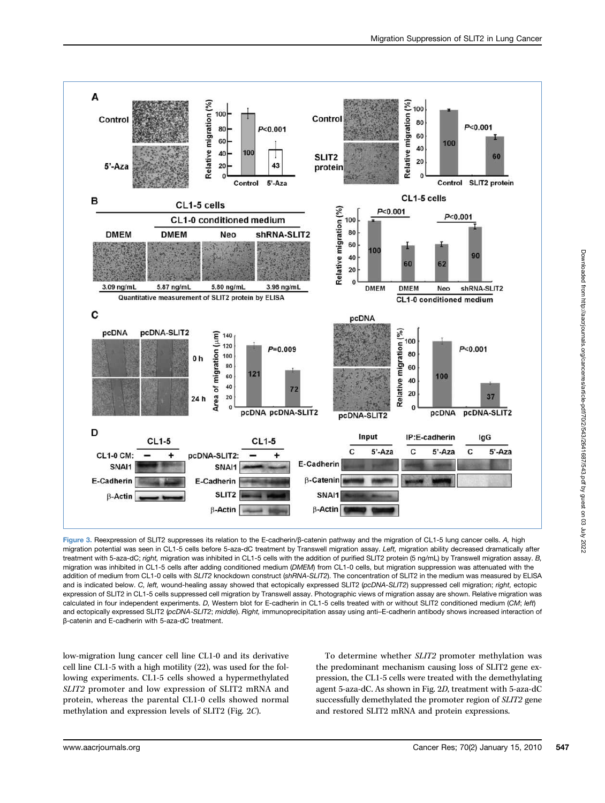

Figure 3. Reexpression of SLIT2 suppresses its relation to the E-cadherin/β-catenin pathway and the migration of CL1-5 lung cancer cells. A, high migration potential was seen in CL1-5 cells before 5-aza-dC treatment by Transwell migration assay. Left, migration ability decreased dramatically after treatment with 5-aza-dC; right, migration was inhibited in CL1-5 cells with the addition of purified SLIT2 protein (5 ng/mL) by Transwell migration assay. B, migration was inhibited in CL1-5 cells after adding conditioned medium (DMEM) from CL1-0 cells, but migration suppression was attenuated with the addition of medium from CL1-0 cells with SLIT2 knockdown construct (shRNA-SLIT2). The concentration of SLIT2 in the medium was measured by ELISA and is indicated below. C, left, wound-healing assay showed that ectopically expressed SLIT2 (pcDNA-SLIT2) suppressed cell migration; right, ectopic expression of SLIT2 in CL1-5 cells suppressed cell migration by Transwell assay. Photographic views of migration assay are shown. Relative migration was calculated in four independent experiments. D, Western blot for E-cadherin in CL1-5 cells treated with or without SLIT2 conditioned medium (CM; left) and ectopically expressed SLIT2 (pcDNA-SLIT2; middle). Right, immunoprecipitation assay using anti-E-cadherin antibody shows increased interaction of β-catenin and E-cadherin with 5-aza-dC treatment.

low-migration lung cancer cell line CL1-0 and its derivative cell line CL1-5 with a high motility (22), was used for the following experiments. CL1-5 cells showed a hypermethylated SLIT2 promoter and low expression of SLIT2 mRNA and protein, whereas the parental CL1-0 cells showed normal methylation and expression levels of SLIT2 (Fig. 2C).

To determine whether SLIT2 promoter methylation was the predominant mechanism causing loss of SLIT2 gene expression, the CL1-5 cells were treated with the demethylating agent 5-aza-dC. As shown in Fig. 2D, treatment with 5-aza-dC successfully demethylated the promoter region of SLIT2 gene and restored SLIT2 mRNA and protein expressions.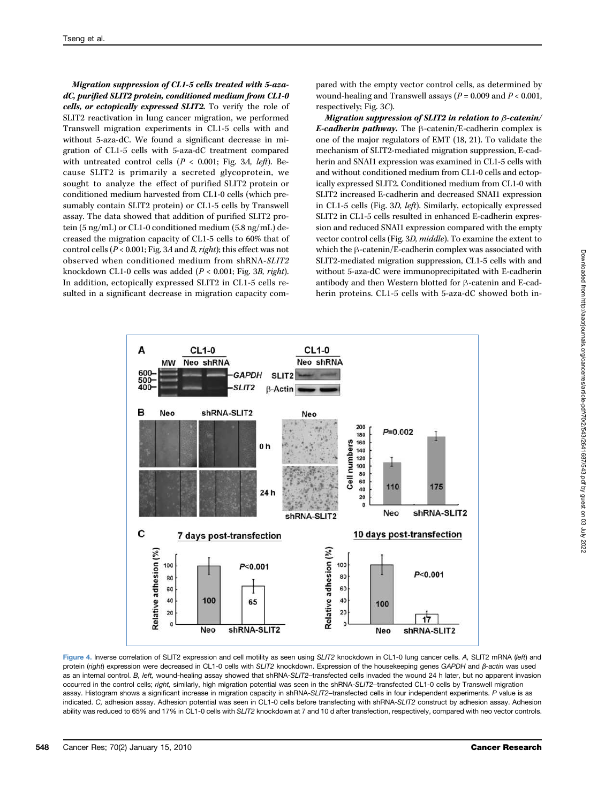Migration suppression of CL1-5 cells treated with 5-azadC, purified SLIT2 protein, conditioned medium from CL1-0 cells, or ectopically expressed SLIT2. To verify the role of SLIT2 reactivation in lung cancer migration, we performed Transwell migration experiments in CL1-5 cells with and without 5-aza-dC. We found a significant decrease in migration of CL1-5 cells with 5-aza-dC treatment compared with untreated control cells ( $P < 0.001$ ; Fig. 3A, left). Because SLIT2 is primarily a secreted glycoprotein, we sought to analyze the effect of purified SLIT2 protein or conditioned medium harvested from CL1-0 cells (which presumably contain SLIT2 protein) or CL1-5 cells by Transwell assay. The data showed that addition of purified SLIT2 protein (5 ng/mL) or CL1-0 conditioned medium (5.8 ng/mL) decreased the migration capacity of CL1-5 cells to 60% that of control cells (P < 0.001; Fig. 3A and B, right); this effect was not observed when conditioned medium from shRNA-SLIT2 knockdown CL1-0 cells was added (P < 0.001; Fig. 3B, right). In addition, ectopically expressed SLIT2 in CL1-5 cells resulted in a significant decrease in migration capacity compared with the empty vector control cells, as determined by wound-healing and Transwell assays ( $P = 0.009$  and  $P < 0.001$ , respectively; Fig. 3C).

Migration suppression of SLIT2 in relation to β-catenin/ E-cadherin pathway. The  $\beta$ -catenin/E-cadherin complex is one of the major regulators of EMT (18, 21). To validate the mechanism of SLIT2-mediated migration suppression, E-cadherin and SNAI1 expression was examined in CL1-5 cells with and without conditioned medium from CL1-0 cells and ectopically expressed SLIT2. Conditioned medium from CL1-0 with SLIT2 increased E-cadherin and decreased SNAI1 expression in CL1-5 cells (Fig. 3D, left). Similarly, ectopically expressed SLIT2 in CL1-5 cells resulted in enhanced E-cadherin expression and reduced SNAI1 expression compared with the empty vector control cells (Fig. 3D, middle). To examine the extent to which the β-catenin/E-cadherin complex was associated with SLIT2-mediated migration suppression, CL1-5 cells with and without 5-aza-dC were immunoprecipitated with E-cadherin antibody and then Western blotted for β-catenin and E-cadherin proteins. CL1-5 cells with 5-aza-dC showed both in-



Figure 4. Inverse correlation of SLIT2 expression and cell motility as seen using SLIT2 knockdown in CL1-0 lung cancer cells. A, SLIT2 mRNA (left) and protein (right) expression were decreased in CL1-0 cells with SLIT2 knockdown. Expression of the housekeeping genes GAPDH and β-actin was used as an internal control. B, left, wound-healing assay showed that shRNA-SLIT2-transfected cells invaded the wound 24 h later, but no apparent invasion occurred in the control cells; right, similarly, high migration potential was seen in the shRNA-SLIT2-transfected CL1-0 cells by Transwell migration assay. Histogram shows a significant increase in migration capacity in shRNA-SLIT2-transfected cells in four independent experiments. P value is as indicated. C, adhesion assay. Adhesion potential was seen in CL1-0 cells before transfecting with shRNA-SLIT2 construct by adhesion assay. Adhesion ability was reduced to 65% and 17% in CL1-0 cells with SLIT2 knockdown at 7 and 10 d after transfection, respectively, compared with neo vector controls.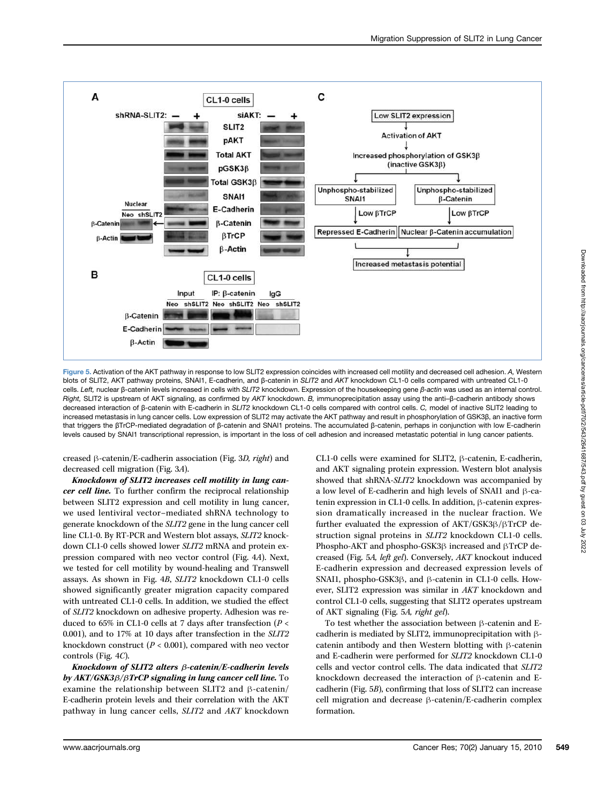

Figure 5. Activation of the AKT pathway in response to low SLIT2 expression coincides with increased cell motility and decreased cell adhesion. A, Western blots of SLIT2, AKT pathway proteins, SNAI1, E-cadherin, and β-catenin in SLIT2 and AKT knockdown CL1-0 cells compared with untreated CL1-0 cells. Left, nuclear β-catenin levels increased in cells with SLIT2 knockdown. Expression of the housekeeping gene β-actin was used as an internal control. Right, SLIT2 is upstream of AKT signaling, as confirmed by AKT knockdown. B, immunoprecipitation assay using the anti–β-cadherin antibody shows decreased interaction of β-catenin with E-cadherin in SLIT2 knockdown CL1-0 cells compared with control cells. C, model of inactive SLIT2 leading to increased metastasis in lung cancer cells. Low expression of SLIT2 may activate the AKT pathway and result in phosphorylation of GSK3β, an inactive form that triggers the βTrCP-mediated degradation of β-catenin and SNAI1 proteins. The accumulated β-catenin, perhaps in conjunction with low E-cadherin levels caused by SNAI1 transcriptional repression, is important in the loss of cell adhesion and increased metastatic potential in lung cancer patients.

creased β-catenin/E-cadherin association (Fig. 3D, right) and decreased cell migration (Fig. 3A).

Knockdown of SLIT2 increases cell motility in lung cancer cell line. To further confirm the reciprocal relationship between SLIT2 expression and cell motility in lung cancer, we used lentiviral vector–mediated shRNA technology to generate knockdown of the SLIT2 gene in the lung cancer cell line CL1-0. By RT-PCR and Western blot assays, SLIT2 knockdown CL1-0 cells showed lower SLIT2 mRNA and protein expression compared with neo vector control (Fig. 4A). Next, we tested for cell motility by wound-healing and Transwell assays. As shown in Fig. 4B, SLIT2 knockdown CL1-0 cells showed significantly greater migration capacity compared with untreated CL1-0 cells. In addition, we studied the effect of SLIT2 knockdown on adhesive property. Adhesion was reduced to 65% in CL1-0 cells at 7 days after transfection ( $P <$ 0.001), and to 17% at 10 days after transfection in the SLIT2 knockdown construct ( $P < 0.001$ ), compared with neo vector controls (Fig. 4C).

Knockdown of SLIT2 alters β-catenin/E-cadherin levels by AKT/GSK3β/βTrCP signaling in lung cancer cell line. To examine the relationship between SLIT2 and β-catenin/ E-cadherin protein levels and their correlation with the AKT pathway in lung cancer cells, SLIT2 and AKT knockdown

CL1-0 cells were examined for SLIT2, β-catenin, E-cadherin, and AKT signaling protein expression. Western blot analysis showed that shRNA-SLIT2 knockdown was accompanied by a low level of E-cadherin and high levels of SNAI1 and β-catenin expression in CL1-0 cells. In addition, β-catenin expression dramatically increased in the nuclear fraction. We further evaluated the expression of AKT/GSK3β/βTrCP destruction signal proteins in SLIT2 knockdown CL1-0 cells. Phospho-AKT and phospho-GSK3β increased and βTrCP decreased (Fig. 5A, left gel). Conversely, AKT knockout induced E-cadherin expression and decreased expression levels of SNAI1, phospho-GSK3β, and β-catenin in CL1-0 cells. However, SLIT2 expression was similar in AKT knockdown and control CL1-0 cells, suggesting that SLIT2 operates upstream of AKT signaling (Fig. 5A, right gel).

To test whether the association between β-catenin and Ecadherin is mediated by SLIT2, immunoprecipitation with βcatenin antibody and then Western blotting with β-catenin and E-cadherin were performed for SLIT2 knockdown CL1-0 cells and vector control cells. The data indicated that SLIT2 knockdown decreased the interaction of β-catenin and Ecadherin (Fig. 5B), confirming that loss of SLIT2 can increase cell migration and decrease β-catenin/E-cadherin complex formation.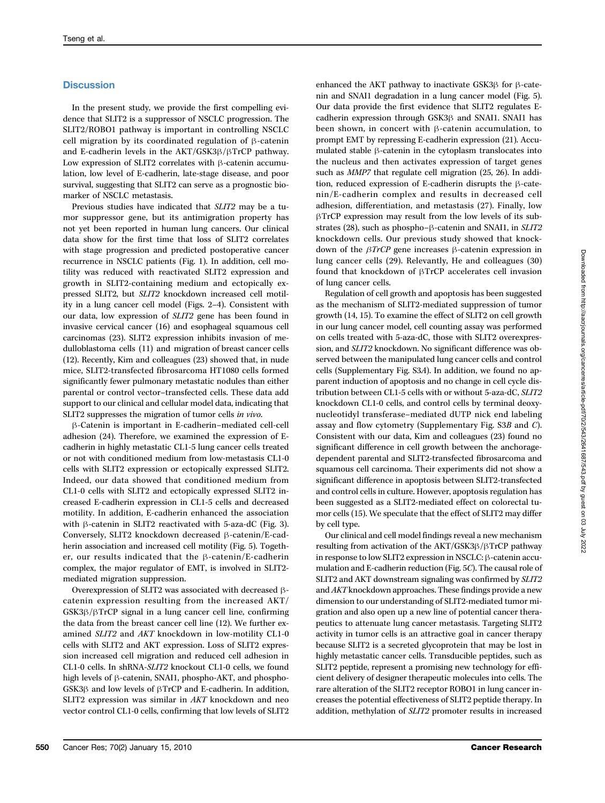## **Discussion**

In the present study, we provide the first compelling evidence that SLIT2 is a suppressor of NSCLC progression. The SLIT2/ROBO1 pathway is important in controlling NSCLC cell migration by its coordinated regulation of β-catenin and E-cadherin levels in the AKT/GSK3β/βTrCP pathway. Low expression of SLIT2 correlates with β-catenin accumulation, low level of E-cadherin, late-stage disease, and poor survival, suggesting that SLIT2 can serve as a prognostic biomarker of NSCLC metastasis.

Previous studies have indicated that SLIT2 may be a tumor suppressor gene, but its antimigration property has not yet been reported in human lung cancers. Our clinical data show for the first time that loss of SLIT2 correlates with stage progression and predicted postoperative cancer recurrence in NSCLC patients (Fig. 1). In addition, cell motility was reduced with reactivated SLIT2 expression and growth in SLIT2-containing medium and ectopically expressed SLIT2, but SLIT2 knockdown increased cell motility in a lung cancer cell model (Figs. 2–4). Consistent with our data, low expression of SLIT2 gene has been found in invasive cervical cancer (16) and esophageal squamous cell carcinomas (23). SLIT2 expression inhibits invasion of medulloblastoma cells (11) and migration of breast cancer cells (12). Recently, Kim and colleagues (23) showed that, in nude mice, SLIT2-transfected fibrosarcoma HT1080 cells formed significantly fewer pulmonary metastatic nodules than either parental or control vector–transfected cells. These data add support to our clinical and cellular model data, indicating that SLIT2 suppresses the migration of tumor cells in vivo.

β-Catenin is important in E-cadherin–mediated cell-cell adhesion (24). Therefore, we examined the expression of Ecadherin in highly metastatic CL1-5 lung cancer cells treated or not with conditioned medium from low-metastasis CL1-0 cells with SLIT2 expression or ectopically expressed SLIT2. Indeed, our data showed that conditioned medium from CL1-0 cells with SLIT2 and ectopically expressed SLIT2 increased E-cadherin expression in CL1-5 cells and decreased motility. In addition, E-cadherin enhanced the association with β-catenin in SLIT2 reactivated with 5-aza-dC (Fig. 3). Conversely, SLIT2 knockdown decreased β-catenin/E-cadherin association and increased cell motility (Fig. 5). Together, our results indicated that the β-catenin/E-cadherin complex, the major regulator of EMT, is involved in SLIT2 mediated migration suppression.

Overexpression of SLIT2 was associated with decreased βcatenin expression resulting from the increased AKT/ GSK3β/βTrCP signal in a lung cancer cell line, confirming the data from the breast cancer cell line (12). We further examined SLIT2 and AKT knockdown in low-motility CL1-0 cells with SLIT2 and AKT expression. Loss of SLIT2 expression increased cell migration and reduced cell adhesion in CL1-0 cells. In shRNA-SLIT2 knockout CL1-0 cells, we found high levels of β-catenin, SNAI1, phospho-AKT, and phospho-GSK3β and low levels of βTrCP and E-cadherin. In addition, SLIT2 expression was similar in AKT knockdown and neo vector control CL1-0 cells, confirming that low levels of SLIT2

enhanced the AKT pathway to inactivate GSK3β for β-catenin and SNAI1 degradation in a lung cancer model (Fig. 5). Our data provide the first evidence that SLIT2 regulates Ecadherin expression through GSK3β and SNAI1. SNAI1 has been shown, in concert with β-catenin accumulation, to prompt EMT by repressing E-cadherin expression (21). Accumulated stable β-catenin in the cytoplasm translocates into the nucleus and then activates expression of target genes such as MMP7 that regulate cell migration (25, 26). In addition, reduced expression of E-cadherin disrupts the β-catenin/E-cadherin complex and results in decreased cell adhesion, differentiation, and metastasis (27). Finally, low βTrCP expression may result from the low levels of its substrates (28), such as phospho–β-catenin and SNAI1, in SLIT2 knockdown cells. Our previous study showed that knockdown of the βTrCP gene increases β-catenin expression in lung cancer cells (29). Relevantly, He and colleagues (30) found that knockdown of βTrCP accelerates cell invasion of lung cancer cells.

Regulation of cell growth and apoptosis has been suggested as the mechanism of SLIT2-mediated suppression of tumor growth (14, 15). To examine the effect of SLIT2 on cell growth in our lung cancer model, cell counting assay was performed on cells treated with 5-aza-dC, those with SLIT2 overexpression, and SLIT2 knockdown. No significant difference was observed between the manipulated lung cancer cells and control cells (Supplementary Fig. S3A). In addition, we found no apparent induction of apoptosis and no change in cell cycle distribution between CL1-5 cells with or without 5-aza-dC, SLIT2 knockdown CL1-0 cells, and control cells by terminal deoxynucleotidyl transferase–mediated dUTP nick end labeling assay and flow cytometry (Supplementary Fig. S3B and C). Consistent with our data, Kim and colleagues (23) found no significant difference in cell growth between the anchoragedependent parental and SLIT2-transfected fibrosarcoma and squamous cell carcinoma. Their experiments did not show a significant difference in apoptosis between SLIT2-transfected and control cells in culture. However, apoptosis regulation has been suggested as a SLIT2-mediated effect on colorectal tumor cells (15). We speculate that the effect of SLIT2 may differ by cell type.

Our clinical and cell model findings reveal a new mechanism resulting from activation of the AKT/GSK3β/βTrCP pathway in response to low SLIT2 expression in NSCLC: β-catenin accumulation and E-cadherin reduction (Fig. 5C). The causal role of SLIT2 and AKT downstream signaling was confirmed by SLIT2 and AKT knockdown approaches. These findings provide a new dimension to our understanding of SLIT2-mediated tumor migration and also open up a new line of potential cancer therapeutics to attenuate lung cancer metastasis. Targeting SLIT2 activity in tumor cells is an attractive goal in cancer therapy because SLIT2 is a secreted glycoprotein that may be lost in highly metastatic cancer cells. Transducible peptides, such as SLIT2 peptide, represent a promising new technology for efficient delivery of designer therapeutic molecules into cells. The rare alteration of the SLIT2 receptor ROBO1 in lung cancer increases the potential effectiveness of SLIT2 peptide therapy. In addition, methylation of SLIT2 promoter results in increased